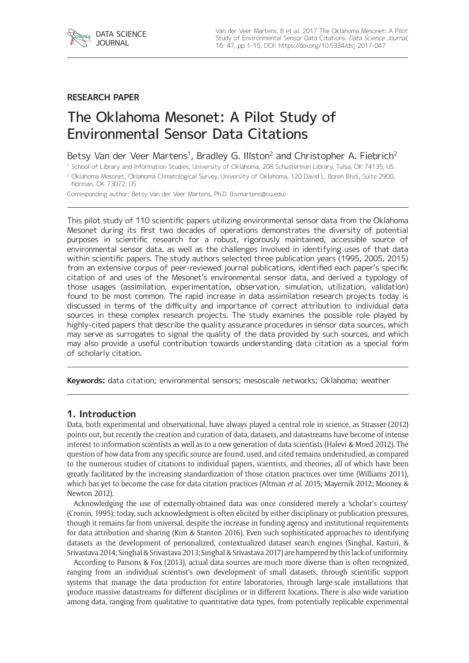

## **RESEARCH PAPER**

# The Oklahoma Mesonet: A Pilot Study of Environmental Sensor Data Citations

# Betsy Van der Veer Martens<sup>1</sup>, Bradley G. Illston<sup>2</sup> and Christopher A. Fiebrich<sup>2</sup>

<sup>1</sup> School of Library and Information Studies, University of Oklahoma, 208 Schusterman Library, Tulsa, OK 74135, US

<sup>2</sup> Oklahoma Mesonet, Oklahoma Climatological Survey, University of Oklahoma, 120 David L. Boren Blvd., Suite 2900, Norman, OK 73072, US

Corresponding author: Betsy Van der Veer Martens, Ph.D. [\(bvmartens@ou.edu](mailto:bvmartens@ou.edu))

This pilot study of 110 scientific papers utilizing environmental sensor data from the Oklahoma Mesonet during its first two decades of operations demonstrates the diversity of potential purposes in scientific research for a robust, rigorously maintained, accessible source of environmental sensor data, as well as the challenges involved in identifying uses of that data within scientific papers. The study authors selected three publication years (1995, 2005, 2015) from an extensive corpus of peer-reviewed journal publications, identified each paper's specific citation of and uses of the Mesonet's environmental sensor data, and derived a typology of those usages (assimilation, experimentation, observation, simulation, utilization, validation) found to be most common. The rapid increase in data assimilation research projects today is discussed in terms of the difficulty and importance of correct attribution to individual data sources in these complex research projects. The study examines the possible role played by highly-cited papers that describe the quality assurance procedures in sensor data sources, which may serve as surrogates to signal the quality of the data provided by such sources, and which may also provide a useful contribution towards understanding data citation as a special form of scholarly citation.

**Keywords:** data citation; environmental sensors; mesoscale networks; Oklahoma; weather

## **1. Introduction**

Data, both experimental and observational, have always played a central role in science, as Strasser (2012) points out, but recently the creation and curation of data, datasets, and datastreams have become of intense interest to information scientists as well as to a new generation of data scientists (Halevi & Moed 2012). The question of how data from any specific source are found, used, and cited remains understudied, as compared to the numerous studies of citations to individual papers, scientists, and theories, all of which have been greatly facilitated by the increasing standardization of those citation practices over time (Williams 2011), which has yet to become the case for data citation practices (Altman *et al*. 2015; Mayernik 2012; Mooney & Newton 2012).

Acknowledging the use of externally-obtained data was once considered merely a 'scholar's courtesy' (Cronin, 1995); today, such acknowledgment is often elicited by either disciplinary or publication pressures, though it remains far from universal, despite the increase in funding agency and institutional requirements for data attribution and sharing (Kim & Stanton 2016). Even such sophisticated approaches to identifying datasets as the development of personalized, contextualized dataset search engines (Singhal, Kasturi, & Srivastava 2014; Singhal & Srivastava 2013; Singhal & Srivastava 2017) are hampered by this lack of uniformity.

According to Parsons & Fox (2013), actual data sources are much more diverse than is often recognized, ranging from an individual scientist's own development of small datasets, through scientific support systems that manage the data production for entire laboratories, through large-scale installations that produce massive datastreams for different disciplines or in different locations. There is also wide variation among data, ranging from qualitative to quantitative data types, from potentially replicable experimental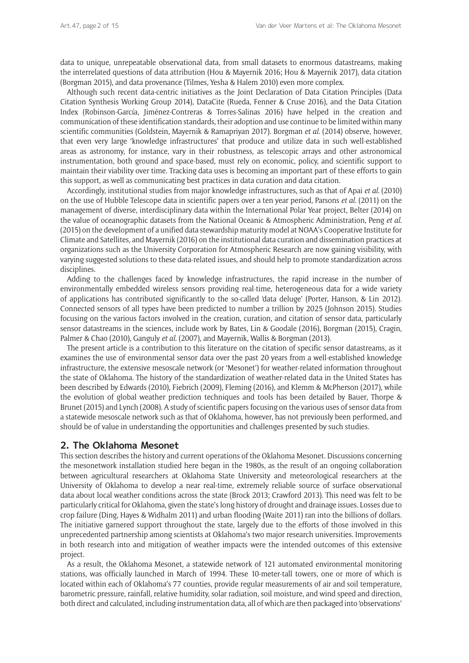data to unique, unrepeatable observational data, from small datasets to enormous datastreams, making the interrelated questions of data attribution (Hou & Mayernik 2016; Hou & Mayernik 2017), data citation (Borgman 2015), and data provenance (Tilmes, Yesha & Halem 2010) even more complex.

Although such recent data-centric initiatives as the Joint Declaration of Data Citation Principles (Data Citation Synthesis Working Group 2014), DataCite (Rueda, Fenner & Cruse 2016), and the Data Citation Index (Robinson-García, Jiménez-Contreras & Torres-Salinas 2016) have helped in the creation and communication of these identification standards, their adoption and use continue to be limited within many scientific communities (Goldstein, Mayernik & Ramapriyan 2017). Borgman *et al*. (2014) observe, however, that even very large 'knowledge infrastructures' that produce and utilize data in such well-established areas as astronomy, for instance, vary in their robustness, as telescopic arrays and other astronomical instrumentation, both ground and space-based, must rely on economic, policy, and scientific support to maintain their viability over time. Tracking data uses is becoming an important part of these efforts to gain this support, as well as communicating best practices in data curation and data citation.

Accordingly, institutional studies from major knowledge infrastructures, such as that of Apai *et al*. (2010) on the use of Hubble Telescope data in scientific papers over a ten year period, Parsons *et al*. (2011) on the management of diverse, interdisciplinary data within the International Polar Year project, Belter (2014) on the value of oceanographic datasets from the National Oceanic & Atmospheric Administration, Peng *et al*. (2015) on the development of a unified data stewardship maturity model at NOAA's Cooperative Institute for Climate and Satellites, and Mayernik (2016) on the institutional data curation and dissemination practices at organizations such as the University Corporation for Atmospheric Research are now gaining visibility, with varying suggested solutions to these data-related issues, and should help to promote standardization across disciplines.

Adding to the challenges faced by knowledge infrastructures, the rapid increase in the number of environmentally embedded wireless sensors providing real-time, heterogeneous data for a wide variety of applications has contributed significantly to the so-called 'data deluge' (Porter, Hanson, & Lin 2012). Connected sensors of all types have been predicted to number a trillion by 2025 (Johnson 2015). Studies focusing on the various factors involved in the creation, curation, and citation of sensor data, particularly sensor datastreams in the sciences, include work by Bates, Lin & Goodale (2016), Borgman (2015), Cragin, Palmer & Chao (2010), Ganguly *et al*. (2007), and Mayernik, Wallis & Borgman (2013).

The present article is a contribution to this literature on the citation of specific sensor datastreams, as it examines the use of environmental sensor data over the past 20 years from a well-established knowledge infrastructure, the extensive mesoscale network (or 'Mesonet') for weather-related information throughout the state of Oklahoma. The history of the standardization of weather-related data in the United States has been described by Edwards (2010), Fiebrich (2009), Fleming (2016), and Klemm & McPherson (2017), while the evolution of global weather prediction techniques and tools has been detailed by Bauer, Thorpe & Brunet (2015) and Lynch (2008). A study of scientific papers focusing on the various uses of sensor data from a statewide mesoscale network such as that of Oklahoma, however, has not previously been performed, and should be of value in understanding the opportunities and challenges presented by such studies.

## **2. The Oklahoma Mesonet**

This section describes the history and current operations of the Oklahoma Mesonet. Discussions concerning the mesonetwork installation studied here began in the 1980s, as the result of an ongoing collaboration between agricultural researchers at Oklahoma State University and meteorological researchers at the University of Oklahoma to develop a near real-time, extremely reliable source of surface observational data about local weather conditions across the state (Brock 2013; Crawford 2013). This need was felt to be particularly critical for Oklahoma, given the state's long history of drought and drainage issues. Losses due to crop failure (Ding, Hayes & Widhalm 2011) and urban flooding (Waite 2011) ran into the billions of dollars. The initiative garnered support throughout the state, largely due to the efforts of those involved in this unprecedented partnership among scientists at Oklahoma's two major research universities. Improvements in both research into and mitigation of weather impacts were the intended outcomes of this extensive project.

As a result, the Oklahoma Mesonet, a statewide network of 121 automated environmental monitoring stations, was officially launched in March of 1994. These 10-meter-tall towers, one or more of which is located within each of Oklahoma's 77 counties, provide regular measurements of air and soil temperature, barometric pressure, rainfall, relative humidity, solar radiation, soil moisture, and wind speed and direction, both direct and calculated, including instrumentation data, all of which are then packaged into 'observations'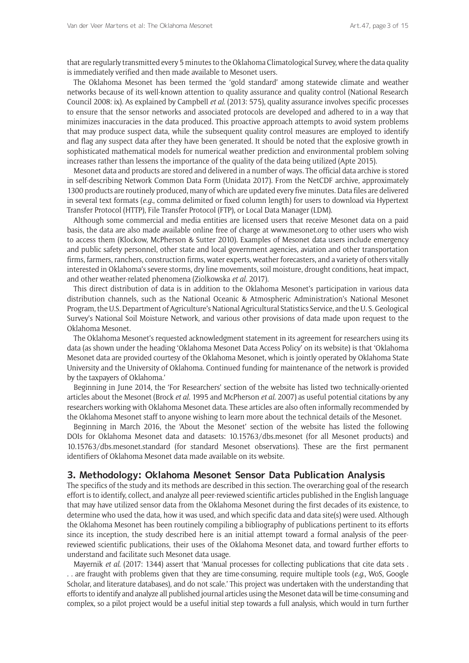that are regularly transmitted every 5 minutes to the Oklahoma Climatological Survey, where the data quality is immediately verified and then made available to Mesonet users.

The Oklahoma Mesonet has been termed the 'gold standard' among statewide climate and weather networks because of its well-known attention to quality assurance and quality control (National Research Council 2008: ix). As explained by Campbell *et al*. (2013: 575), quality assurance involves specific processes to ensure that the sensor networks and associated protocols are developed and adhered to in a way that minimizes inaccuracies in the data produced. This proactive approach attempts to avoid system problems that may produce suspect data, while the subsequent quality control measures are employed to identify and flag any suspect data after they have been generated. It should be noted that the explosive growth in sophisticated mathematical models for numerical weather prediction and environmental problem solving increases rather than lessens the importance of the quality of the data being utilized (Apte 2015).

Mesonet data and products are stored and delivered in a number of ways. The official data archive is stored in self-describing Network Common Data Form (Unidata 2017). From the NetCDF archive, approximately 1300 products are routinely produced, many of which are updated every five minutes. Data files are delivered in several text formats (*e.g*., comma delimited or fixed column length) for users to download via Hypertext Transfer Protocol (HTTP), File Transfer Protocol (FTP), or Local Data Manager (LDM).

Although some commercial and media entities are licensed users that receive Mesonet data on a paid basis, the data are also made available online free of charge at [www.mesonet.org](https://www.mesonet.org) to other users who wish to access them (Klockow, McPherson & Sutter 2010). Examples of Mesonet data users include emergency and public safety personnel, other state and local government agencies, aviation and other transportation firms, farmers, ranchers, construction firms, water experts, weather forecasters, and a variety of others vitally interested in Oklahoma's severe storms, dry line movements, soil moisture, drought conditions, heat impact, and other weather-related phenomena (Ziolkowska *et al*. 2017).

This direct distribution of data is in addition to the Oklahoma Mesonet's participation in various data distribution channels, such as the National Oceanic & Atmospheric Administration's National Mesonet Program, the U.S. Department of Agriculture's National Agricultural Statistics Service, and the U. S. Geological Survey's National Soil Moisture Network, and various other provisions of data made upon request to the Oklahoma Mesonet.

The Oklahoma Mesonet's requested acknowledgment statement in its agreement for researchers using its data (as shown under the heading 'Oklahoma Mesonet Data Access Policy' on its website) is that 'Oklahoma Mesonet data are provided courtesy of the Oklahoma Mesonet, which is jointly operated by Oklahoma State University and the University of Oklahoma. Continued funding for maintenance of the network is provided by the taxpayers of Oklahoma.'

Beginning in June 2014, the 'For Researchers' section of the website has listed two technically-oriented articles about the Mesonet (Brock *et al*. 1995 and McPherson *et al*. 2007) as useful potential citations by any researchers working with Oklahoma Mesonet data. These articles are also often informally recommended by the Oklahoma Mesonet staff to anyone wishing to learn more about the technical details of the Mesonet.

Beginning in March 2016, the 'About the Mesonet' section of the website has listed the following DOIs for Oklahoma Mesonet data and datasets: [10.15763/dbs.mesonet](https://doi.org/10.15763/dbs.mesonet) (for all Mesonet products) and [10.15763/dbs.mesonet.standard](https://doi.org/10.15763/dbs.mesonet.standard) (for standard Mesonet observations). These are the first permanent identifiers of Oklahoma Mesonet data made available on its website.

## **3. Methodology: Oklahoma Mesonet Sensor Data Publication Analysis**

The specifics of the study and its methods are described in this section. The overarching goal of the research effort is to identify, collect, and analyze all peer-reviewed scientific articles published in the English language that may have utilized sensor data from the Oklahoma Mesonet during the first decades of its existence, to determine who used the data, how it was used, and which specific data and data site(s) were used. Although the Oklahoma Mesonet has been routinely compiling a bibliography of publications pertinent to its efforts since its inception, the study described here is an initial attempt toward a formal analysis of the peerreviewed scientific publications, their uses of the Oklahoma Mesonet data, and toward further efforts to understand and facilitate such Mesonet data usage.

Mayernik *et al*. (2017: 1344) assert that 'Manual processes for collecting publications that cite data sets . . . are fraught with problems given that they are time-consuming, require multiple tools (*e.g*., WoS, Google Scholar, and literature databases), and do not scale.' This project was undertaken with the understanding that efforts to identify and analyze all published journal articles using the Mesonet data will be time-consuming and complex, so a pilot project would be a useful initial step towards a full analysis, which would in turn further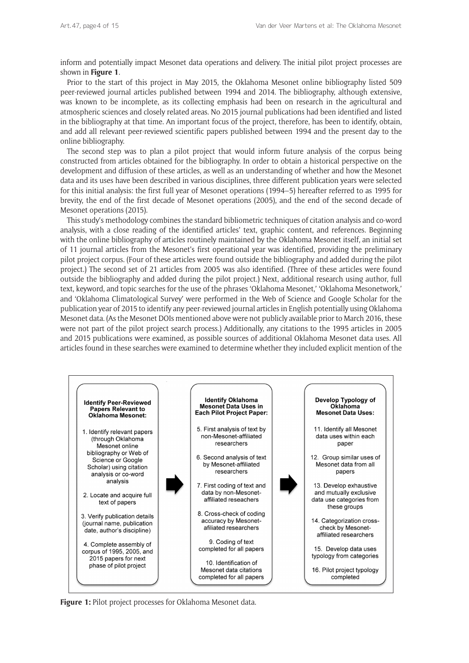inform and potentially impact Mesonet data operations and delivery. The initial pilot project processes are shown in **Figure 1**.

Prior to the start of this project in May 2015, the Oklahoma Mesonet online bibliography listed 509 peer-reviewed journal articles published between 1994 and 2014. The bibliography, although extensive, was known to be incomplete, as its collecting emphasis had been on research in the agricultural and atmospheric sciences and closely related areas. No 2015 journal publications had been identified and listed in the bibliography at that time. An important focus of the project, therefore, has been to identify, obtain, and add all relevant peer-reviewed scientific papers published between 1994 and the present day to the online bibliography.

The second step was to plan a pilot project that would inform future analysis of the corpus being constructed from articles obtained for the bibliography. In order to obtain a historical perspective on the development and diffusion of these articles, as well as an understanding of whether and how the Mesonet data and its uses have been described in various disciplines, three different publication years were selected for this initial analysis: the first full year of Mesonet operations (1994–5) hereafter referred to as 1995 for brevity, the end of the first decade of Mesonet operations (2005), and the end of the second decade of Mesonet operations (2015).

This study's methodology combines the standard bibliometric techniques of citation analysis and co-word analysis, with a close reading of the identified articles' text, graphic content, and references. Beginning with the online bibliography of articles routinely maintained by the Oklahoma Mesonet itself, an initial set of 11 journal articles from the Mesonet's first operational year was identified, providing the preliminary pilot project corpus. (Four of these articles were found outside the bibliography and added during the pilot project.) The second set of 21 articles from 2005 was also identified. (Three of these articles were found outside the bibliography and added during the pilot project.) Next, additional research using author, full text, keyword, and topic searches for the use of the phrases 'Oklahoma Mesonet,' 'Oklahoma Mesonetwork,' and 'Oklahoma Climatological Survey' were performed in the Web of Science and Google Scholar for the publication year of 2015 to identify any peer-reviewed journal articles in English potentially using Oklahoma Mesonet data. (As the Mesonet DOIs mentioned above were not publicly available prior to March 2016, these were not part of the pilot project search process.) Additionally, any citations to the 1995 articles in 2005 and 2015 publications were examined, as possible sources of additional Oklahoma Mesonet data uses. All articles found in these searches were examined to determine whether they included explicit mention of the



**Figure 1:** Pilot project processes for Oklahoma Mesonet data.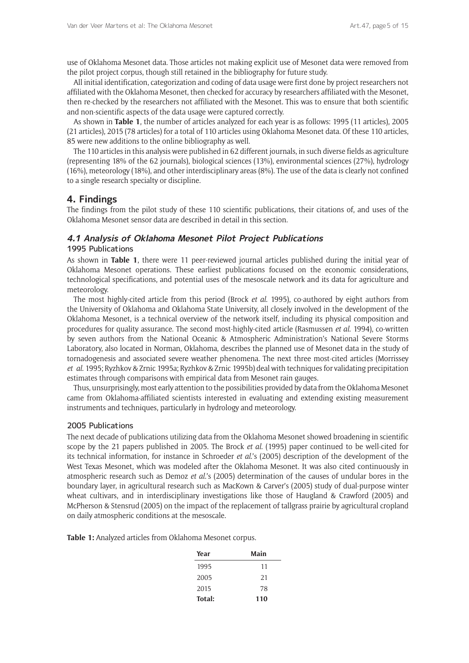use of Oklahoma Mesonet data. Those articles not making explicit use of Mesonet data were removed from the pilot project corpus, though still retained in the bibliography for future study.

All initial identification, categorization and coding of data usage were first done by project researchers not affiliated with the Oklahoma Mesonet, then checked for accuracy by researchers affiliated with the Mesonet, then re-checked by the researchers not affiliated with the Mesonet. This was to ensure that both scientific and non-scientific aspects of the data usage were captured correctly.

As shown in **Table 1**, the number of articles analyzed for each year is as follows: 1995 (11 articles), 2005 (21 articles), 2015 (78 articles) for a total of 110 articles using Oklahoma Mesonet data. Of these 110 articles, 85 were new additions to the online bibliography as well.

The 110 articles in this analysis were published in 62 different journals, in such diverse fields as agriculture (representing 18% of the 62 journals), biological sciences (13%), environmental sciences (27%), hydrology (16%), meteorology (18%), and other interdisciplinary areas (8%). The use of the data is clearly not confined to a single research specialty or discipline.

## **4. Findings**

The findings from the pilot study of these 110 scientific publications, their citations of, and uses of the Oklahoma Mesonet sensor data are described in detail in this section.

## **4.1 Analysis of Oklahoma Mesonet Pilot Project Publications** 1995 Publications

As shown in **Table 1**, there were 11 peer-reviewed journal articles published during the initial year of Oklahoma Mesonet operations. These earliest publications focused on the economic considerations, technological specifications, and potential uses of the mesoscale network and its data for agriculture and meteorology.

The most highly-cited article from this period (Brock *et al*. 1995), co-authored by eight authors from the University of Oklahoma and Oklahoma State University, all closely involved in the development of the Oklahoma Mesonet, is a technical overview of the network itself, including its physical composition and procedures for quality assurance. The second most-highly-cited article (Rasmussen *et al*. 1994), co-written by seven authors from the National Oceanic & Atmospheric Administration's National Severe Storms Laboratory, also located in Norman, Oklahoma, describes the planned use of Mesonet data in the study of tornadogenesis and associated severe weather phenomena. The next three most-cited articles (Morrissey *et al*. 1995; Ryzhkov & Zrnic 1995a; Ryzhkov & Zrnic 1995b) deal with techniques for validating precipitation estimates through comparisons with empirical data from Mesonet rain gauges.

Thus, unsurprisingly, most early attention to the possibilities provided by data from the Oklahoma Mesonet came from Oklahoma-affiliated scientists interested in evaluating and extending existing measurement instruments and techniques, particularly in hydrology and meteorology.

#### 2005 Publications

The next decade of publications utilizing data from the Oklahoma Mesonet showed broadening in scientific scope by the 21 papers published in 2005. The Brock *et al*. (1995) paper continued to be well-cited for its technical information, for instance in Schroeder *et al*.'s (2005) description of the development of the West Texas Mesonet, which was modeled after the Oklahoma Mesonet. It was also cited continuously in atmospheric research such as Demoz *et al*.'s (2005) determination of the causes of undular bores in the boundary layer, in agricultural research such as MacKown & Carver's (2005) study of dual-purpose winter wheat cultivars, and in interdisciplinary investigations like those of Haugland & Crawford (2005) and McPherson & Stensrud (2005) on the impact of the replacement of tallgrass prairie by agricultural cropland on daily atmospheric conditions at the mesoscale.

**Table 1:** Analyzed articles from Oklahoma Mesonet corpus.

| Year   | Main |
|--------|------|
| 1995   | 11   |
| 2005   | 21   |
| 2015   | 78   |
| Total: | 110  |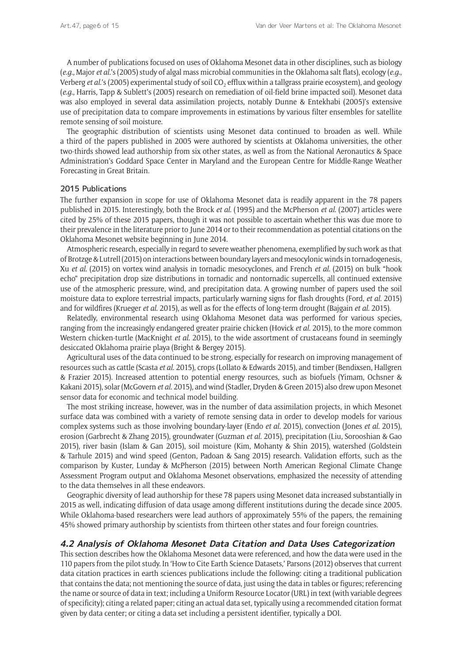A number of publications focused on uses of Oklahoma Mesonet data in other disciplines, such as biology (*e.g*., Major *et al*.'s (2005) study of algal mass microbial communities in the Oklahoma salt flats), ecology (*e.g*., Verberg *et al.*'s (2005) experimental study of soil CO<sub>2</sub> efflux within a tallgrass prairie ecosystem), and geology (*e.g*., Harris, Tapp & Sublett's (2005) research on remediation of oil-field brine impacted soil). Mesonet data was also employed in several data assimilation projects, notably Dunne & Entekhabi (2005)'s extensive use of precipitation data to compare improvements in estimations by various filter ensembles for satellite remote sensing of soil moisture.

The geographic distribution of scientists using Mesonet data continued to broaden as well. While a third of the papers published in 2005 were authored by scientists at Oklahoma universities, the other two-thirds showed lead authorship from six other states, as well as from the National Aeronautics & Space Administration's Goddard Space Center in Maryland and the European Centre for Middle-Range Weather Forecasting in Great Britain.

#### 2015 Publications

The further expansion in scope for use of Oklahoma Mesonet data is readily apparent in the 78 papers published in 2015. Interestingly, both the Brock *et al*. (1995) and the McPherson *et al*. (2007) articles were cited by 25% of these 2015 papers, though it was not possible to ascertain whether this was due more to their prevalence in the literature prior to June 2014 or to their recommendation as potential citations on the Oklahoma Mesonet website beginning in June 2014.

Atmospheric research, especially in regard to severe weather phenomena, exemplified by such work as that of Brotzge & Lutrell (2015) on interactions between boundary layers and mesocylonic winds in tornadogenesis, Xu *et al*. (2015) on vortex wind analysis in tornadic mesocyclones, and French *et al*. (2015) on bulk "hook echo" precipitation drop size distributions in tornadic and nontornadic supercells, all continued extensive use of the atmospheric pressure, wind, and precipitation data. A growing number of papers used the soil moisture data to explore terrestrial impacts, particularly warning signs for flash droughts (Ford, *et al*. 2015) and for wildfires (Krueger *et al*. 2015), as well as for the effects of long-term drought (Bajgain *et al*. 2015).

Relatedly, environmental research using Oklahoma Mesonet data was performed for various species, ranging from the increasingly endangered greater prairie chicken (Hovick *et al*. 2015), to the more common Western chicken-turtle (MacKnight *et al*. 2015), to the wide assortment of crustaceans found in seemingly desiccated Oklahoma prairie playa (Bright & Bergey 2015).

Agricultural uses of the data continued to be strong, especially for research on improving management of resources such as cattle (Scasta *et al*. 2015), crops (Lollato & Edwards 2015), and timber (Bendixsen, Hallgren & Frazier 2015). Increased attention to potential energy resources, such as biofuels (Yimam, Ochsner & Kakani 2015), solar (McGovern *et al*. 2015), and wind (Stadler, Dryden & Green 2015) also drew upon Mesonet sensor data for economic and technical model building.

The most striking increase, however, was in the number of data assimilation projects, in which Mesonet surface data was combined with a variety of remote sensing data in order to develop models for various complex systems such as those involving boundary-layer (Endo *et al.* 2015), convection (Jones *et al*. 2015), erosion (Garbrecht & Zhang 2015), groundwater (Guzman *et al*. 2015), precipitation (Liu, Sorooshian & Gao 2015), river basin (Islam & Gan 2015), soil moisture (Kim, Mohanty & Shin 2015), watershed (Goldstein & Tarhule 2015) and wind speed (Genton, Padoan & Sang 2015) research. Validation efforts, such as the comparison by Kuster, Lunday & McPherson (2015) between North American Regional Climate Change Assessment Program output and Oklahoma Mesonet observations, emphasized the necessity of attending to the data themselves in all these endeavors.

Geographic diversity of lead authorship for these 78 papers using Mesonet data increased substantially in 2015 as well, indicating diffusion of data usage among different institutions during the decade since 2005. While Oklahoma-based researchers were lead authors of approximately 55% of the papers, the remaining 45% showed primary authorship by scientists from thirteen other states and four foreign countries.

#### **4.2 Analysis of Oklahoma Mesonet Data Citation and Data Uses Categorization**

This section describes how the Oklahoma Mesonet data were referenced, and how the data were used in the 110 papers from the pilot study. In 'How to Cite Earth Science Datasets,' Parsons (2012) observes that current data citation practices in earth sciences publications include the following: citing a traditional publication that contains the data; not mentioning the source of data, just using the data in tables or figures; referencing the name or source of data in text; including a Uniform Resource Locator (URL) in text (with variable degrees of specificity); citing a related paper; citing an actual data set, typically using a recommended citation format given by data center; or citing a data set including a persistent identifier, typically a DOI.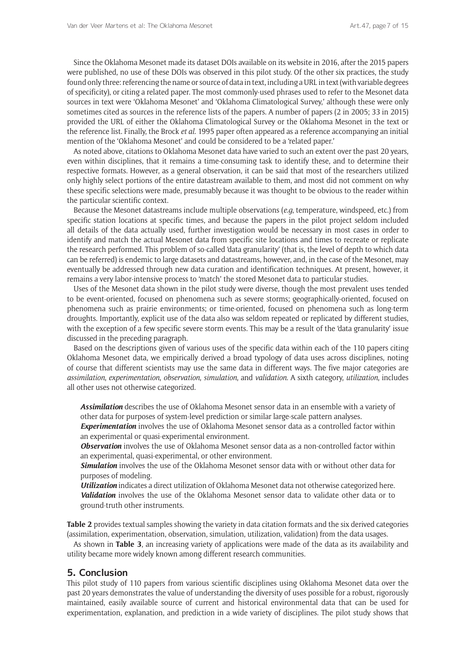Since the Oklahoma Mesonet made its dataset DOIs available on its website in 2016, after the 2015 papers were published, no use of these DOIs was observed in this pilot study. Of the other six practices, the study found only three: referencing the name or source of data in text, including a URL in text (with variable degrees of specificity), or citing a related paper. The most commonly-used phrases used to refer to the Mesonet data sources in text were 'Oklahoma Mesonet' and 'Oklahoma Climatological Survey,' although these were only sometimes cited as sources in the reference lists of the papers. A number of papers (2 in 2005; 33 in 2015) provided the URL of either the Oklahoma Climatological Survey or the Oklahoma Mesonet in the text or the reference list. Finally, the Brock *et al.* 1995 paper often appeared as a reference accompanying an initial mention of the 'Oklahoma Mesonet' and could be considered to be a 'related paper.'

As noted above, citations to Oklahoma Mesonet data have varied to such an extent over the past 20 years, even within disciplines, that it remains a time-consuming task to identify these, and to determine their respective formats. However, as a general observation, it can be said that most of the researchers utilized only highly select portions of the entire datastream available to them, and most did not comment on why these specific selections were made, presumably because it was thought to be obvious to the reader within the particular scientific context.

Because the Mesonet datastreams include multiple observations (*e.g*, temperature, windspeed, etc.) from specific station locations at specific times, and because the papers in the pilot project seldom included all details of the data actually used, further investigation would be necessary in most cases in order to identify and match the actual Mesonet data from specific site locations and times to recreate or replicate the research performed. This problem of so-called 'data granularity' (that is, the level of depth to which data can be referred) is endemic to large datasets and datastreams, however, and, in the case of the Mesonet, may eventually be addressed through new data curation and identification techniques. At present, however, it remains a very labor-intensive process to 'match' the stored Mesonet data to particular studies.

Uses of the Mesonet data shown in the pilot study were diverse, though the most prevalent uses tended to be event-oriented, focused on phenomena such as severe storms; geographically-oriented, focused on phenomena such as prairie environments; or time-oriented, focused on phenomena such as long-term droughts. Importantly, explicit use of the data also was seldom repeated or replicated by different studies, with the exception of a few specific severe storm events. This may be a result of the 'data granularity' issue discussed in the preceding paragraph.

Based on the descriptions given of various uses of the specific data within each of the 110 papers citing Oklahoma Mesonet data, we empirically derived a broad typology of data uses across disciplines, noting of course that different scientists may use the same data in different ways. The five major categories are *assimilation*, *experimentation*, *observation*, *simulation*, and *validation*. A sixth category, *utilization*, includes all other uses not otherwise categorized.

*Assimilation* describes the use of Oklahoma Mesonet sensor data in an ensemble with a variety of other data for purposes of system-level prediction or similar large-scale pattern analyses.

*Experimentation* involves the use of Oklahoma Mesonet sensor data as a controlled factor within an experimental or quasi-experimental environment.

**Observation** involves the use of Oklahoma Mesonet sensor data as a non-controlled factor within an experimental, quasi-experimental, or other environment.

*Simulation* involves the use of the Oklahoma Mesonet sensor data with or without other data for purposes of modeling.

*Utilization* indicates a direct utilization of Oklahoma Mesonet data not otherwise categorized here. *Validation* involves the use of the Oklahoma Mesonet sensor data to validate other data or to ground-truth other instruments.

**Table 2** provides textual samples showing the variety in data citation formats and the six derived categories (assimilation, experimentation, observation, simulation, utilization, validation) from the data usages.

As shown in **Table 3**, an increasing variety of applications were made of the data as its availability and utility became more widely known among different research communities.

## **5. Conclusion**

This pilot study of 110 papers from various scientific disciplines using Oklahoma Mesonet data over the past 20 years demonstrates the value of understanding the diversity of uses possible for a robust, rigorously maintained, easily available source of current and historical environmental data that can be used for experimentation, explanation, and prediction in a wide variety of disciplines. The pilot study shows that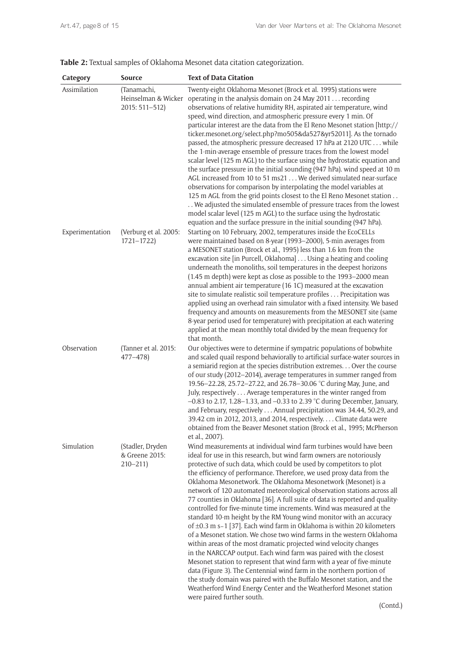|  |  | Table 2: Textual samples of Oklahoma Mesonet data citation categorization. |  |
|--|--|----------------------------------------------------------------------------|--|
|--|--|----------------------------------------------------------------------------|--|

| Category        | Source                                               | <b>Text of Data Citation</b>                                                                                                                                                                                                                                                                                                                                                                                                                                                                                                                                                                                                                                                                                                                                                                                                                                                                                                                                                                                                                                                                                                                                                                                                                                                                         |
|-----------------|------------------------------------------------------|------------------------------------------------------------------------------------------------------------------------------------------------------------------------------------------------------------------------------------------------------------------------------------------------------------------------------------------------------------------------------------------------------------------------------------------------------------------------------------------------------------------------------------------------------------------------------------------------------------------------------------------------------------------------------------------------------------------------------------------------------------------------------------------------------------------------------------------------------------------------------------------------------------------------------------------------------------------------------------------------------------------------------------------------------------------------------------------------------------------------------------------------------------------------------------------------------------------------------------------------------------------------------------------------------|
| Assimilation    | (Tanamachi,<br>Heinselman & Wicker<br>2015: 511-512) | Twenty-eight Oklahoma Mesonet (Brock et al. 1995) stations were<br>operating in the analysis domain on 24 May 2011 recording<br>observations of relative humidity RH, aspirated air temperature, wind<br>speed, wind direction, and atmospheric pressure every 1 min. Of<br>particular interest are the data from the El Reno Mesonet station [http://<br>ticker.mesonet.org/select.php?mo505&da527&yr52011]. As the tornado<br>passed, the atmospheric pressure decreased 17 hPa at 2120 UTC while<br>the 1-min-average ensemble of pressure traces from the lowest model<br>scalar level (125 m AGL) to the surface using the hydrostatic equation and<br>the surface pressure in the initial sounding (947 hPa). wind speed at 10 m<br>AGL increased from 10 to 51 ms21 We derived simulated near-surface<br>observations for comparison by interpolating the model variables at<br>125 m AGL from the grid points closest to the El Reno Mesonet station<br>We adjusted the simulated ensemble of pressure traces from the lowest<br>model scalar level (125 m AGL) to the surface using the hydrostatic<br>equation and the surface pressure in the initial sounding (947 hPa).                                                                                                                 |
| Experimentation | (Verburg et al. 2005:<br>$1721 - 1722$               | Starting on 10 February, 2002, temperatures inside the EcoCELLs<br>were maintained based on 8-year (1993-2000), 5-min averages from<br>a MESONET station (Brock et al., 1995) less than 1.6 km from the<br>excavation site [in Purcell, Oklahoma] Using a heating and cooling<br>underneath the monoliths, soil temperatures in the deepest horizons<br>(1.45 m depth) were kept as close as possible to the 1993-2000 mean<br>annual ambient air temperature (16 1C) measured at the excavation<br>site to simulate realistic soil temperature profiles Precipitation was<br>applied using an overhead rain simulator with a fixed intensity. We based<br>frequency and amounts on measurements from the MESONET site (same<br>8-year period used for temperature) with precipitation at each watering<br>applied at the mean monthly total divided by the mean frequency for<br>that month.                                                                                                                                                                                                                                                                                                                                                                                                        |
| Observation     | (Tanner et al. 2015:<br>$477 - 478$                  | Our objectives were to determine if sympatric populations of bobwhite<br>and scaled quail respond behaviorally to artificial surface-water sources in<br>a semiarid region at the species distribution extremes Over the course<br>of our study (2012-2014), average temperatures in summer ranged from<br>19.56-22.28, 25.72-27.22, and 26.78-30.06 °C during May, June, and<br>July, respectively Average temperatures in the winter ranged from<br>$-0.83$ to 2.17, 1.28–1.33, and $-0.33$ to 2.39 °C during December, January,<br>and February, respectively Annual precipitation was 34.44, 50.29, and<br>39.42 cm in 2012, 2013, and 2014, respectively. Climate data were<br>obtained from the Beaver Mesonet station (Brock et al., 1995; McPherson<br>et al., 2007).                                                                                                                                                                                                                                                                                                                                                                                                                                                                                                                        |
| Simulation      | (Stadler, Dryden<br>& Greene 2015:<br>$210 - 211$    | Wind measurements at individual wind farm turbines would have been<br>ideal for use in this research, but wind farm owners are notoriously<br>protective of such data, which could be used by competitors to plot<br>the efficiency of performance. Therefore, we used proxy data from the<br>Oklahoma Mesonetwork. The Oklahoma Mesonetwork (Mesonet) is a<br>network of 120 automated meteorological observation stations across all<br>77 counties in Oklahoma [36]. A full suite of data is reported and quality-<br>controlled for five-minute time increments. Wind was measured at the<br>standard 10-m height by the RM Young wind monitor with an accuracy<br>of $\pm$ 0.3 m s-1 [37]. Each wind farm in Oklahoma is within 20 kilometers<br>of a Mesonet station. We chose two wind farms in the western Oklahoma<br>within areas of the most dramatic projected wind velocity changes<br>in the NARCCAP output. Each wind farm was paired with the closest<br>Mesonet station to represent that wind farm with a year of five-minute<br>data (Figure 3). The Centennial wind farm in the northern portion of<br>the study domain was paired with the Buffalo Mesonet station, and the<br>Weatherford Wind Energy Center and the Weatherford Mesonet station<br>were paired further south. |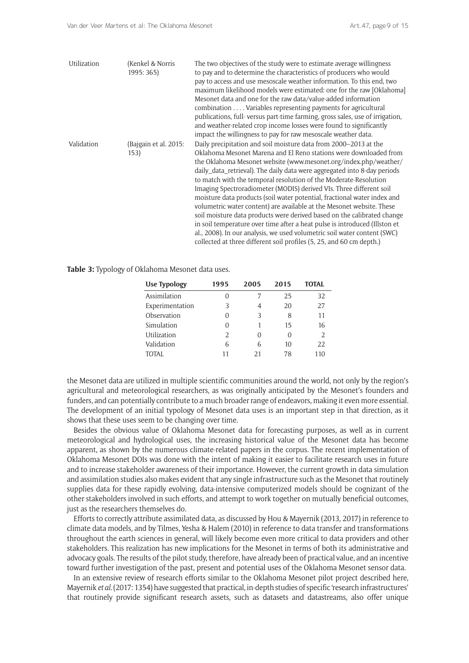| Utilization | (Kenkel & Norris<br>1995: 365) | The two objectives of the study were to estimate average willingness<br>to pay and to determine the characteristics of producers who would<br>pay to access and use mesoscale weather information. To this end, two<br>maximum likelihood models were estimated: one for the raw [Oklahoma]<br>Mesonet data and one for the raw data/value-added information<br>combination Variables representing payments for agricultural<br>publications, full-versus part-time farming, gross sales, use of irrigation,<br>and weather-related crop income losses were found to significantly<br>impact the willingness to pay for raw mesoscale weather data.                                                                                                                                                                                                                                                |
|-------------|--------------------------------|----------------------------------------------------------------------------------------------------------------------------------------------------------------------------------------------------------------------------------------------------------------------------------------------------------------------------------------------------------------------------------------------------------------------------------------------------------------------------------------------------------------------------------------------------------------------------------------------------------------------------------------------------------------------------------------------------------------------------------------------------------------------------------------------------------------------------------------------------------------------------------------------------|
| Validation  | (Bajgain et al. 2015:<br>153)  | Daily precipitation and soil moisture data from 2000-2013 at the<br>Oklahoma Mesonet Marena and El Reno stations were downloaded from<br>the Oklahoma Mesonet website (www.mesonet.org/index.php/weather/<br>daily_data_retrieval). The daily data were aggregated into 8-day periods<br>to match with the temporal resolution of the Moderate-Resolution<br>Imaging Spectroradiometer (MODIS) derived VIs. Three different soil<br>moisture data products (soil water potential, fractional water index and<br>volumetric water content) are available at the Mesonet website. These<br>soil moisture data products were derived based on the calibrated change<br>in soil temperature over time after a heat pulse is introduced (Illston et<br>al., 2008). In our analysis, we used volumetric soil water content (SWC)<br>collected at three different soil profiles (5, 25, and 60 cm depth.) |

**Table 3:** Typology of Oklahoma Mesonet data uses.

| 1995     | 2005 | 2015 | <b>TOTAL</b> |
|----------|------|------|--------------|
| $\Omega$ | 7    | 25   | 32           |
| 3        | 4    | 20   | 27           |
| 0        | 3    | 8    | 11           |
| 0        | 1    | 15   | 16           |
| 2        | 0    | 0    | 2            |
| 6        | 6    | 10   | 22           |
| 11       | 21   | 78   | 110          |
|          |      |      |              |

the Mesonet data are utilized in multiple scientific communities around the world, not only by the region's agricultural and meteorological researchers, as was originally anticipated by the Mesonet's founders and funders, and can potentially contribute to a much broader range of endeavors, making it even more essential. The development of an initial typology of Mesonet data uses is an important step in that direction, as it shows that these uses seem to be changing over time.

Besides the obvious value of Oklahoma Mesonet data for forecasting purposes, as well as in current meteorological and hydrological uses, the increasing historical value of the Mesonet data has become apparent, as shown by the numerous climate-related papers in the corpus. The recent implementation of Oklahoma Mesonet DOIs was done with the intent of making it easier to facilitate research uses in future and to increase stakeholder awareness of their importance. However, the current growth in data simulation and assimilation studies also makes evident that any single infrastructure such as the Mesonet that routinely supplies data for these rapidly evolving, data-intensive computerized models should be cognizant of the other stakeholders involved in such efforts, and attempt to work together on mutually beneficial outcomes, just as the researchers themselves do.

Efforts to correctly attribute assimilated data, as discussed by Hou & Mayernik (2013, 2017) in reference to climate data models, and by Tilmes, Yesha & Halem (2010) in reference to data transfer and transformations throughout the earth sciences in general, will likely become even more critical to data providers and other stakeholders. This realization has new implications for the Mesonet in terms of both its administrative and advocacy goals. The results of the pilot study, therefore, have already been of practical value, and an incentive toward further investigation of the past, present and potential uses of the Oklahoma Mesonet sensor data.

In an extensive review of research efforts similar to the Oklahoma Mesonet pilot project described here, Mayernik *et al*. (2017: 1354) have suggested that practical, in-depth studies of specific 'research infrastructures' that routinely provide significant research assets, such as datasets and datastreams, also offer unique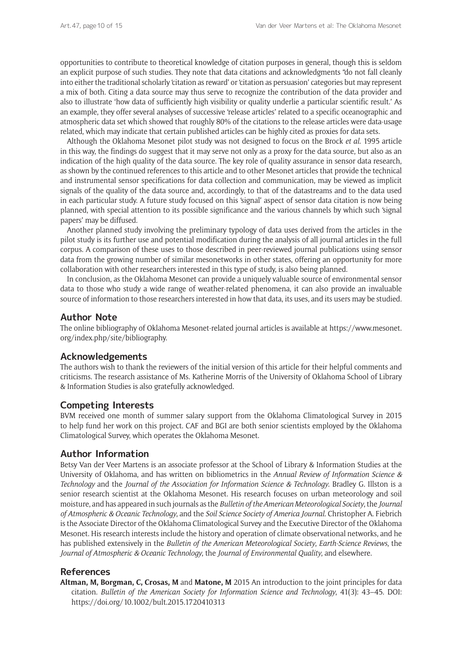opportunities to contribute to theoretical knowledge of citation purposes in general, though this is seldom an explicit purpose of such studies. They note that data citations and acknowledgments "do not fall cleanly into either the traditional scholarly 'citation as reward' or 'citation as persuasion' categories but may represent a mix of both. Citing a data source may thus serve to recognize the contribution of the data provider and also to illustrate 'how data of sufficiently high visibility or quality underlie a particular scientific result.' As an example, they offer several analyses of successive 'release articles' related to a specific oceanographic and atmospheric data set which showed that roughly 80% of the citations to the release articles were data-usage related, which may indicate that certain published articles can be highly cited as proxies for data sets.

Although the Oklahoma Mesonet pilot study was not designed to focus on the Brock *et al*. 1995 article in this way, the findings do suggest that it may serve not only as a proxy for the data source, but also as an indication of the high quality of the data source. The key role of quality assurance in sensor data research, as shown by the continued references to this article and to other Mesonet articles that provide the technical and instrumental sensor specifications for data collection and communication, may be viewed as implicit signals of the quality of the data source and, accordingly, to that of the datastreams and to the data used in each particular study. A future study focused on this 'signal' aspect of sensor data citation is now being planned, with special attention to its possible significance and the various channels by which such 'signal papers' may be diffused.

Another planned study involving the preliminary typology of data uses derived from the articles in the pilot study is its further use and potential modification during the analysis of all journal articles in the full corpus. A comparison of these uses to those described in peer-reviewed journal publications using sensor data from the growing number of similar mesonetworks in other states, offering an opportunity for more collaboration with other researchers interested in this type of study, is also being planned.

In conclusion, as the Oklahoma Mesonet can provide a uniquely valuable source of environmental sensor data to those who study a wide range of weather-related phenomena, it can also provide an invaluable source of information to those researchers interested in how that data, its uses, and its users may be studied.

## **Author Note**

The online bibliography of Oklahoma Mesonet-related journal articles is available at [https://www.mesonet.](https://www.mesonet.org/index.php/site/bibliography) [org/index.php/site/bibliography](https://www.mesonet.org/index.php/site/bibliography).

## **Acknowledgements**

The authors wish to thank the reviewers of the initial version of this article for their helpful comments and criticisms. The research assistance of Ms. Katherine Morris of the University of Oklahoma School of Library & Information Studies is also gratefully acknowledged.

# **Competing Interests**

BVM received one month of summer salary support from the Oklahoma Climatological Survey in 2015 to help fund her work on this project. CAF and BGI are both senior scientists employed by the Oklahoma Climatological Survey, which operates the Oklahoma Mesonet.

# **Author Information**

Betsy Van der Veer Martens is an associate professor at the School of Library & Information Studies at the University of Oklahoma, and has written on bibliometrics in the *Annual Review of Information Science & Technology* and the *Journal of the Association for Information Science & Technology*. Bradley G. Illston is a senior research scientist at the Oklahoma Mesonet. His research focuses on urban meteorology and soil moisture, and has appeared in such journals as the *Bulletin of the American Meteorological Society*, the *Journal of Atmospheric & Oceanic Technology*, and the *Soil Science Society of America Journal*. Christopher A. Fiebrich is the Associate Director of the Oklahoma Climatological Survey and the Executive Director of the Oklahoma Mesonet. His research interests include the history and operation of climate observational networks, and he has published extensively in the *Bulletin of the American Meteorological Society*, *Earth-Science Reviews*, the *Journal of Atmospheric & Oceanic Technology*, the *Journal of Environmental Quality*, and elsewhere.

## **References**

**Altman, M, Borgman, C, Crosas, M** and **Matone, M** 2015 An introduction to the joint principles for data citation. *Bulletin of the American Society for Information Science and Technology*, 41(3): 43–45. DOI: <https://doi.org/10.1002/bult.2015.1720410313>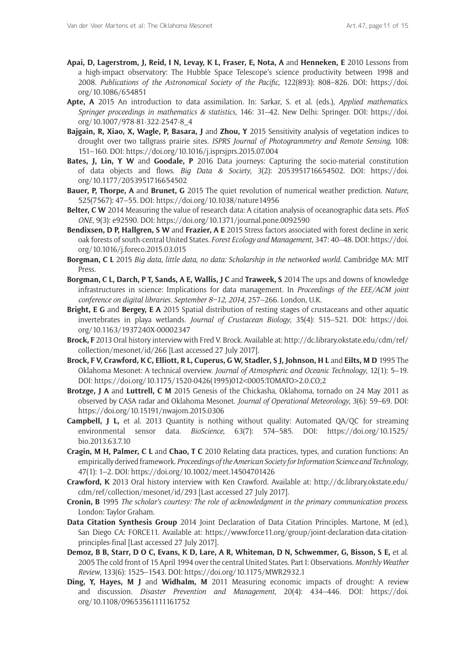- **Apai, D, Lagerstrom, J, Reid, I N, Levay, K L, Fraser, E, Nota, A** and **Henneken, E** 2010 Lessons from a high-impact observatory: The Hubble Space Telescope's science productivity between 1998 and 2008. *Publications of the Astronomical Society of the Pacific*, 122(893): 808–826. DOI: [https://doi.](https://doi.org/10.1086/654851) [org/10.1086/654851](https://doi.org/10.1086/654851)
- **Apte, A** 2015 An introduction to data assimilation. In: Sarkar, S. et al. (eds.), *Applied mathematics*. *Springer proceedings in mathematics & statistics*, 146: 31–42. New Delhi: Springer. DOI: [https://doi.](https://doi.org/10.1007/978-81-322-2547-8_4) [org/10.1007/978-81-322-2547-8\\_4](https://doi.org/10.1007/978-81-322-2547-8_4)
- **Bajgain, R, Xiao, X, Wagle, P, Basara, J** and **Zhou, Y** 2015 Sensitivity analysis of vegetation indices to drought over two tallgrass prairie sites. *ISPRS Journal of Photogrammetry and Remote Sensing*, 108: 151–160. DOI:<https://doi.org/10.1016/j.isprsjprs.2015.07.004>
- **Bates, J, Lin, Y W** and **Goodale, P** 2016 Data journeys: Capturing the socio-material constitution of data objects and flows. *Big Data & Society*, 3(2): 2053951716654502. DOI: [https://doi.](https://doi.org/10.1177/2053951716654502) [org/10.1177/2053951716654502](https://doi.org/10.1177/2053951716654502)
- **Bauer, P, Thorpe, A** and **Brunet, G** 2015 The quiet revolution of numerical weather prediction. *Nature*, 525(7567): 47–55. DOI:<https://doi.org/10.1038/nature14956>
- **Belter, C W** 2014 Measuring the value of research data: A citation analysis of oceanographic data sets. *PloS ONE*, 9(3): e92590. DOI: <https://doi.org/10.1371/journal.pone.0092590>
- **Bendixsen, D P, Hallgren, S W** and **Frazier, A E** 2015 Stress factors associated with forest decline in xeric oak forests of south-central United States. *Forest Ecology and Management*, 347: 40–48. DOI: [https://doi.](https://doi.org/10.1016/j.foreco.2015.03.015) [org/10.1016/j.foreco.2015.03.015](https://doi.org/10.1016/j.foreco.2015.03.015)
- **Borgman, C L** 2015 *Big data, little data, no data: Scholarship in the networked world*. Cambridge MA: MIT Press.
- **Borgman, C L, Darch, P T, Sands, A E, Wallis, J C** and **Traweek, S** 2014 The ups and downs of knowledge infrastructures in science: Implications for data management. In *Proceedings of the EEE/ACM joint conference on digital libraries. September 8–12, 2014*, 257–266. London, U.K.
- **Bright, E G** and **Bergey, E A** 2015 Spatial distribution of resting stages of crustaceans and other aquatic invertebrates in playa wetlands. *Journal of Crustacean Biology*, 35(4): 515–521. DOI: [https://doi.](https://doi.org/10.1163/1937240X-00002347) [org/10.1163/1937240X-00002347](https://doi.org/10.1163/1937240X-00002347)
- **Brock, F** 2013 Oral history interview with Fred V. Brock. Available at: [http://dc.library.okstate.edu/cdm/ref/](http://dc.library.okstate.edu/cdm/ref/collection/mesonet/id/266) [collection/mesonet/id/266](http://dc.library.okstate.edu/cdm/ref/collection/mesonet/id/266) [Last accessed 27 July 2017].
- **Brock, F V, Crawford, K C, Elliott, R L, Cuperus, G W, Stadler, S J, Johnson, H L** and **Eilts, M D** 1995 The Oklahoma Mesonet: A technical overview. *Journal of Atmospheric and Oceanic Technology*, 12(1): 5–19. DOI: [https://doi.org/10.1175/1520-0426\(1995\)012<0005:TOMATO>2.0.CO;2](https://doi.org/10.1175/1520-0426(1995)012<0005:TOMATO>2.0.CO;2)
- **Brotzge, J A** and **Luttrell, C M** 2015 Genesis of the Chickasha, Oklahoma, tornado on 24 May 2011 as observed by CASA radar and Oklahoma Mesonet. *Journal of Operational Meteorology*, 3(6): 59–69. DOI: <https://doi.org/10.15191/nwajom.2015.0306>
- **Campbell, J L,** et al. 2013 Quantity is nothing without quality: Automated QA/QC for streaming environmental sensor data. *BioScience*, 63(7): 574–585. DOI: [https://doi.org/10.1525/](https://doi.org/10.1525/bio.2013.63.7.10) [bio.2013.63.7.10](https://doi.org/10.1525/bio.2013.63.7.10)
- **Cragin, M H, Palmer, C L** and **Chao, T C** 2010 Relating data practices, types, and curation functions: An empirically derived framework. *Proceedings of the American Society for Information Science and Technology*, 47(1): 1–2. DOI:<https://doi.org/10.1002/meet.14504701426>
- **Crawford, K** 2013 Oral history interview with Ken Crawford. Available at: [http://dc.library.okstate.edu/](http://dc.library.okstate.edu/cdm/ref/collection/mesonet/id/293) [cdm/ref/collection/mesonet/id/293](http://dc.library.okstate.edu/cdm/ref/collection/mesonet/id/293) [Last accessed 27 July 2017].
- **Cronin, B** 1995 *The scholar's courtesy: The role of acknowledgment in the primary communication process*. London: Taylor Graham.
- **Data Citation Synthesis Group** 2014 Joint Declaration of Data Citation Principles. Martone, M (ed.), San Diego CA: FORCE11. Available at: [https://www.force11.org/group/joint-declaration-data-citation](https://www.force11.org/group/joint-declaration-data-citation-principles-final)[principles-final](https://www.force11.org/group/joint-declaration-data-citation-principles-final) [Last accessed 27 July 2017].
- **Demoz, B B, Starr, D O C, Evans, K D, Lare, A R, Whiteman, D N, Schwemmer, G, Bisson, S E,** et al. 2005 The cold front of 15 April 1994 over the central United States. Part I: Observations. *Monthly Weather Review*, 133(6): 1525–1543. DOI:<https://doi.org/10.1175/MWR2932.1>
- **Ding, Y, Hayes, M J** and **Widhalm, M** 2011 Measuring economic impacts of drought: A review and discussion. *Disaster Prevention and Management*, 20(4): 434–446. DOI: [https://doi.](https://doi.org/10.1108/09653561111161752) [org/10.1108/09653561111161752](https://doi.org/10.1108/09653561111161752)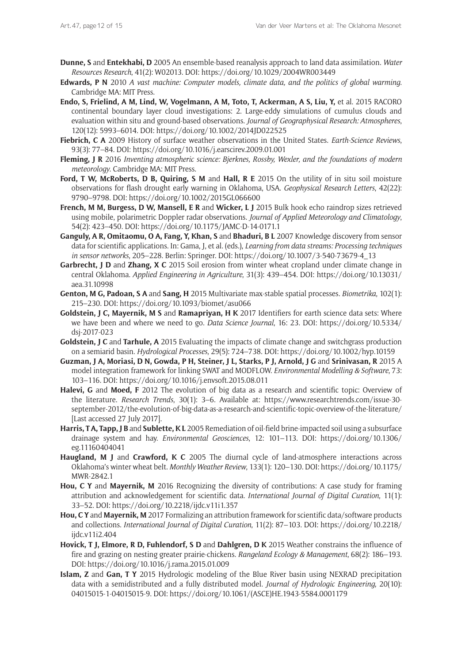- **Dunne, S** and **Entekhabi, D** 2005 An ensemble-based reanalysis approach to land data assimilation*. Water Resources Research*, 41(2): W02013. DOI: <https://doi.org/10.1029/2004WR003449>
- **Edwards, P N** 2010 *A vast machine: Computer models, climate data, and the politics of global warming*. Cambridge MA: MIT Press.
- **Endo, S, Frielind, A M, Lind, W, Vogelmann, A M, Toto, T, Ackerman, A S, Liu, Y,** et al. 2015 RACORO continental boundary layer cloud investigations: 2. Large-eddy simulations of cumulus clouds and evaluation within situ and ground-based observations. *Journal of Geographysical Research: Atmospheres*, 120(12): 5993–6014. DOI:<https://doi.org/10.1002/2014JD022525>
- **Fiebrich, C A** 2009 History of surface weather observations in the United States. *Earth-Science Reviews*, 93(3): 77–84. DOI: <https://doi.org/10.1016/j.earscirev.2009.01.001>
- **Fleming, J R** 2016 *Inventing atmospheric science: Bjerknes, Rossby, Wexler, and the foundations of modern meteorology*. Cambridge MA: MIT Press.
- **Ford, T W, McRoberts, D B, Quiring, S M** and **Hall, R E** 2015 On the utility of in situ soil moisture observations for flash drought early warning in Oklahoma, USA. *Geophysical Research Letters*, 42(22): 9790–9798. DOI: <https://doi.org/10.1002/2015GL066600>
- **French, M M, Burgess, D W, Mansell, E R** and **Wicker, L J** 2015 Bulk hook echo raindrop sizes retrieved using mobile, polarimetric Doppler radar observations. *Journal of Applied Meteorology and Climatology*, 54(2): 423–450. DOI:<https://doi.org/10.1175/JAMC-D-14-0171.1>
- **Ganguly, A R, Omitaomu, O A, Fang, Y, Khan, S** and **Bhaduri, B L** 2007 Knowledge discovery from sensor data for scientific applications. In: Gama, J, et al. (eds.), *Learning from data streams: Processing techniques in sensor networks*, 205–228. Berlin: Springer. DOI: [https://doi.org/10.1007/3-540-73679-4\\_13](https://doi.org/10.1007/3-540-73679-4_13)
- **Garbrecht, J D and Zhang, X C 2015** Soil erosion from winter wheat cropland under climate change in central Oklahoma. *Applied Engineering in Agriculture*, 31(3): 439–454. DOI: [https://doi.org/10.13031/](https://doi.org/10.13031/aea.31.10998) [aea.31.10998](https://doi.org/10.13031/aea.31.10998)
- **Genton, M G, Padoan, S A** and **Sang, H** 2015 Multivariate max-stable spatial processes. *Biometrika*, 102(1): 215–230. DOI:<https://doi.org/10.1093/biomet/asu066>
- **Goldstein, J C, Mayernik, M S** and **Ramapriyan, H K** 2017 Identifiers for earth science data sets: Where we have been and where we need to go. *Data Science Journal*, 16: 23. DOI: [https://doi.org/10.5334/](https://doi.org/10.5334/dsj-2017-023) [dsj-2017-023](https://doi.org/10.5334/dsj-2017-023)
- **Goldstein, J C and Tarhule, A** 2015 Evaluating the impacts of climate change and switchgrass production on a semiarid basin. *Hydrological Processes*, 29(5): 724–738. DOI:<https://doi.org/10.1002/hyp.10159>
- **Guzman, J A, Moriasi, D N, Gowda, P H, Steiner, J L, Starks, P J, Arnold, J G** and **Srinivasan, R** 2015 A model integration framework for linking SWAT and MODFLOW. *Environmental Modelling & Software*, 73: 103–116. DOI: <https://doi.org/10.1016/j.envsoft.2015.08.011>
- **Halevi, G** and **Moed, F** 2012 The evolution of big data as a research and scientific topic: Overview of the literature. *Research Trends*, 30(1): 3–6. Available at: [https://www.researchtrends.com/issue-30](https://www.researchtrends.com/issue-30-september-2012/the-evolution-of-big-data-as-a-research-and-scientific-topic-overview-of-the-literature/) [september-2012/the-evolution-of-big-data-as-a-research-and-scientific-topic-overview-of-the-literature/](https://www.researchtrends.com/issue-30-september-2012/the-evolution-of-big-data-as-a-research-and-scientific-topic-overview-of-the-literature/) [Last accessed 27 July 2017].
- **Harris, T A, Tapp, J B** and **Sublette, K L** 2005 Remediation of oil-field brine-impacted soil using a subsurface drainage system and hay. *Environmental Geosciences*, 12: 101–113. DOI: [https://doi.org/10.1306/](https://doi.org/10.1306/eg.11160404041) [eg.11160404041](https://doi.org/10.1306/eg.11160404041)
- **Haugland, M J** and **Crawford, K C** 2005 The diurnal cycle of land-atmosphere interactions across Oklahoma's winter wheat belt. *Monthly Weather Review*, 133(1): 120–130. DOI: [https://doi.org/10.1175/](https://doi.org/10.1175/MWR-2842.1) [MWR-2842.1](https://doi.org/10.1175/MWR-2842.1)
- **Hou, C Y** and **Mayernik, M** 2016 Recognizing the diversity of contributions: A case study for framing attribution and acknowledgement for scientific data. *International Journal of Digital Curation*, 11(1): 33–52. DOI:<https://doi.org/10.2218/ijdc.v11i1.357>
- **Hou, C Y** and **Mayernik, M** 2017 Formalizing an attribution framework for scientific data/software products and collections. *International Journal of Digital Curation*, 11(2): 87–103. DOI: [https://doi.org/10.2218/](https://doi.org/10.2218/ijdc.v11i2.404) iidc.v11i2.404
- **Hovick, T J, Elmore, R D, Fuhlendorf, S D** and **Dahlgren, D K** 2015 Weather constrains the influence of fire and grazing on nesting greater prairie-chickens. *Rangeland Ecology & Management*, 68(2): 186–193. DOI:<https://doi.org/10.1016/j.rama.2015.01.009>
- **Islam, Z** and **Gan, T Y** 2015 Hydrologic modeling of the Blue River basin using NEXRAD precipitation data with a semidistributed and a fully distributed model. *Journal of Hydrologic Engineering*, 20(10): 04015015-1-04015015-9. DOI: [https://doi.org/10.1061/\(ASCE\)HE.1943-5584.0001179](https://doi.org/10.1061/(ASCE)HE.1943-5584.0001179)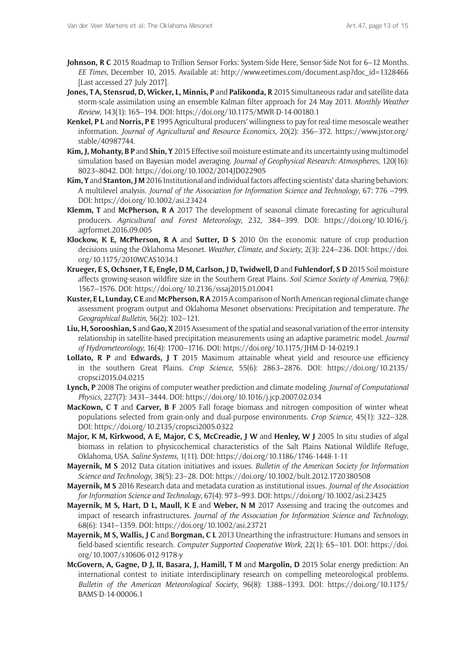- **Johnson, R C** 2015 Roadmap to Trillion Sensor Forks: System-Side Here, Sensor-Side Not for 6–12 Months. *EE Times*, December 10, 2015. Available at: [http://www.eetimes.com/document.asp?doc\\_id=1328466](http://www.eetimes.com/document.asp?doc_id=1328466) [Last accessed 27 July 2017].
- **Jones, T A, Stensrud, D, Wicker, L, Minnis, P** and **Palikonda, R** 2015 Simultaneous radar and satellite data storm-scale assimilation using an ensemble Kalman filter approach for 24 May 2011. *Monthly Weather Review*, 143(1): 165–194. DOI:<https://doi.org/10.1175/MWR-D-14-00180.1>
- **Kenkel, P L** and **Norris, P E** 1995 Agricultural producers' willingness to pay for real-time mesoscale weather information. *Journal of Agricultural and Resource Economics*, 20(2): 356–372. [https://www.jstor.org/](https://www.jstor.org/stable/40987744) [stable/40987744](https://www.jstor.org/stable/40987744).
- **Kim, J, Mohanty, B P** and **Shin, Y** 2015 Effective soil moisture estimate and its uncertainty using multimodel simulation based on Bayesian model averaging. *Journal of Geophysical Research: Atmospheres*, 120(16): 8023–8042. DOI:<https://doi.org/10.1002/2014JD022905>
- **Kim, Y** and **Stanton, J M** 2016 Institutional and individual factors affecting scientists' data-sharing behaviors: A multilevel analysis. *Journal of the Association for Information Science and Technology*, 67: 776 –799. DOI: <https://doi.org/10.1002/asi.23424>
- **Klemm, T** and **McPherson, R A** 2017 The development of seasonal climate forecasting for agricultural producers. *Agricultural and Forest Meteorology*, 232, 384–399. DOI: [https://doi.org/10.1016/j.](https://doi.org/10.1016/j.agrformet.2016.09.005) [agrformet.2016.09.005](https://doi.org/10.1016/j.agrformet.2016.09.005)
- **Klockow, K E, McPherson, R A** and **Sutter, D S** 2010 On the economic nature of crop production decisions using the Oklahoma Mesonet. *Weather, Climate, and Society*, 2(3): 224–236. DOI: [https://doi.](https://doi.org/10.1175/2010WCAS1034.1) [org/10.1175/2010WCAS1034.1](https://doi.org/10.1175/2010WCAS1034.1)
- **Krueger, E S, Ochsner, T E, Engle, D M, Carlson, J D, Twidwell, D** and **Fuhlendorf, S D** 2015 Soil moisture affects growing-season wildfire size in the Southern Great Plains. *Soil Science Society of America*, 79(6*):* 1567–1576. DOI: <https://doi.org/10.2136/sssaj2015.01.0041>
- **Kuster, E L, Lunday, C E** and **McPherson, R A** 2015 A comparison of North American regional climate change assessment program output and Oklahoma Mesonet observations: Precipitation and temperature. *The Geographical Bulletin*, 56(2): 102–121.
- **Liu, H, Sorooshian, S** and **Gao, X** 2015 Assessment of the spatial and seasonal variation of the error-intensity relationship in satellite-based precipitation measurements using an adaptive parametric model. *Journal of Hydrometeorology*, 16(4): 1700–1716. DOI:<https://doi.org/10.1175/JHM-D-14-0219.1>
- **Lollato, R P** and **Edwards, J T** 2015 Maximum attainable wheat yield and resource-use efficiency in the southern Great Plains. *Crop Science*, 55(6): 2863–2876. DOI: [https://doi.org/10.2135/](https://doi.org/10.2135/cropsci2015.04.0215) [cropsci2015.04.0215](https://doi.org/10.2135/cropsci2015.04.0215)
- **Lynch, P** 2008 The origins of computer weather prediction and climate modeling. *Journal of Computational Physics*, 227(7): 3431–3444. DOI: <https://doi.org/10.1016/j.jcp.2007.02.034>
- **MacKown, C T** and **Carver, B F** 2005 Fall forage biomass and nitrogen composition of winter wheat populations selected from grain-only and dual-purpose environments. *Crop Science*, 45(1): 322–328. DOI: <https://doi.org/10.2135/cropsci2005.0322>
- **Major, K M, Kirkwood, A E, Major, C S, McCreadie, J W** and **Henley, W J** 2005 In situ studies of algal biomass in relation to physicochemical characteristics of the Salt Plains National Wildlife Refuge, Oklahoma, USA. *Saline Systems*, 1(11). DOI: <https://doi.org/10.1186/1746-1448-1-11>
- **Mayernik, M S** 2012 Data citation initiatives and issues. *Bulletin of the American Society for Information Science and Technology*, 38(5): 23–28. DOI: <https://doi.org/10.1002/bult.2012.1720380508>
- **Mayernik, M S** 2016 Research data and metadata curation as institutional issues. *Journal of the Association for Information Science and Technology*, 67(4): 973–993. DOI: <https://doi.org/10.1002/asi.23425>
- **Mayernik, M S, Hart, D L, Maull, K E** and **Weber, N M** 2017 Assessing and tracing the outcomes and impact of research infrastructures. *Journal of the Association for Information Science and Technology*, 68(6): 1341–1359. DOI: <https://doi.org/10.1002/asi.23721>
- **Mayernik, M S, Wallis, J C** and **Borgman, C L** 2013 Unearthing the infrastructure: Humans and sensors in field-based scientific research. *Computer Supported Cooperative Work*, 22(1): 65–101. DOI: [https://doi.](https://doi.org/10.1007/s10606-012-9178-y) [org/10.1007/s10606-012-9178-y](https://doi.org/10.1007/s10606-012-9178-y)
- **McGovern, A, Gagne, D J, II, Basara, J, Hamill, T M** and **Margolin, D** 2015 Solar energy prediction: An international contest to initiate interdisciplinary research on compelling meteorological problems. *Bulletin of the American Meteorological Society*, 96(8): 1388–1393. DOI: [https://doi.org/10.1175/](https://doi.org/10.1175/BAMS-D-14-00006.1) [BAMS-D-14-00006.1](https://doi.org/10.1175/BAMS-D-14-00006.1)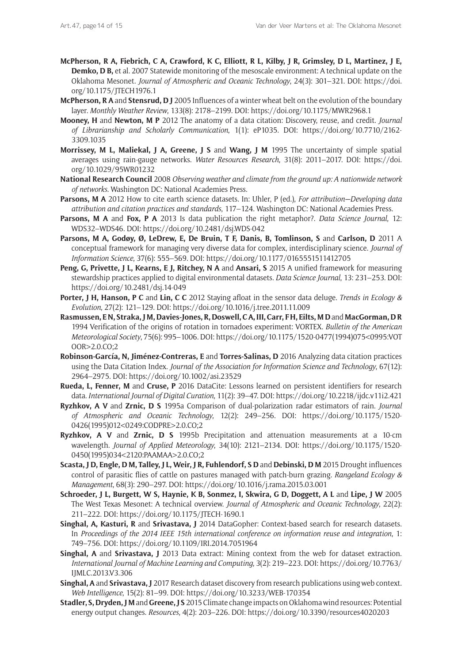- **McPherson, R A, Fiebrich, C A, Crawford, K C, Elliott, R L, Kilby, J R, Grimsley, D L, Martinez, J E, Demko, D B,** et al. 2007 Statewide monitoring of the mesoscale environment: A technical update on the Oklahoma Mesonet. *Journal of Atmospheric and Oceanic Technology*, 24(3): 301–321. DOI: [https://doi.](https://doi.org/10.1175/JTECH1976.1) [org/10.1175/JTECH1976.1](https://doi.org/10.1175/JTECH1976.1)
- **McPherson, R A** and **Stensrud, D J** 2005 Influences of a winter wheat belt on the evolution of the boundary layer. *Monthly Weather Review*, 133(8): 2178–2199. DOI: <https://doi.org/10.1175/MWR2968.1>
- **Mooney, H** and **Newton, M P** 2012 The anatomy of a data citation: Discovery, reuse, and credit. *Journal of Librarianship and Scholarly Communication*, 1(1): eP1035. DOI: [https://doi.org/10.7710/2162-](https://doi.org/10.7710/2162-3309.1035) [3309.1035](https://doi.org/10.7710/2162-3309.1035)
- **Morrissey, M L, Maliekal, J A, Greene, J S** and **Wang, J M** 1995 The uncertainty of simple spatial averages using rain-gauge networks. *Water Resources Research*, 31(8): 2011–2017. DOI: [https://doi.](https://doi.org/10.1029/95WR01232) [org/10.1029/95WR01232](https://doi.org/10.1029/95WR01232)
- **National Research Council** 2008 *Observing weather and climate from the ground up: A nationwide network of networks*. Washington DC: National Academies Press.
- **Parsons, M A** 2012 How to cite earth science datasets. In: Uhler, P (ed.), *For attribution—Developing data attribution and citation practices and standards*, 117–124. Washington DC: National Academies Press.
- **Parsons, M A** and **Fox, P A** 2013 Is data publication the right metaphor?. *Data Science Journal*, 12: WDS32–WDS46. DOI: <https://doi.org/10.2481/dsj.WDS-042>
- **Parsons, M A, Godøy, Ø, LeDrew, E, De Bruin, T F, Danis, B, Tomlinson, S** and **Carlson, D** 2011 A conceptual framework for managing very diverse data for complex, interdisciplinary science. *Journal of Information Science*, 37(6): 555–569. DOI: <https://doi.org/10.1177/0165551511412705>
- **Peng, G, Privette, J L, Kearns, E J, Ritchey, N A** and **Ansari, S** 2015 A unified framework for measuring stewardship practices applied to digital environmental datasets. *Data Science Journal*, 13: 231–253. DOI: <https://doi.org/10.2481/dsj.14-049>
- **Porter, J H, Hanson, P C** and **Lin, C C** 2012 Staying afloat in the sensor data deluge. *Trends in Ecology & Evolution*, 27(2): 121–129. DOI:<https://doi.org/10.1016/j.tree.2011.11.009>
- **Rasmussen, E N, Straka, J M, Davies-Jones, R, Doswell, C A, III, Carr, F H, Eilts, M D** and **MacGorman, D R**  1994 Verification of the origins of rotation in tornadoes experiment: VORTEX. *Bulletin of the American Meteorological Society*, 75(6): 995–1006. DOI: [https://doi.org/10.1175/1520-0477\(1994\)075<0995:VOT](https://doi.org/10.1175/1520-0477(1994)075<0995:VOTOOR>2.0.CO;2) [OOR>2.0.CO;2](https://doi.org/10.1175/1520-0477(1994)075<0995:VOTOOR>2.0.CO;2)
- **Robinson-García, N, Jiménez-Contreras, E** and **Torres-Salinas, D** 2016 Analyzing data citation practices using the Data Citation Index. *Journal of the Association for Information Science and Technology*, 67(12): 2964–2975. DOI: <https://doi.org/10.1002/asi.23529>
- **Rueda, L, Fenner, M** and **Cruse, P** 2016 DataCite: Lessons learned on persistent identifiers for research data. *International Journal of Digital Curation*, 11(2): 39–47. DOI:<https://doi.org/10.2218/ijdc.v11i2.421>
- **Ryzhkov, A V** and **Zrnic, D S** 1995a Comparison of dual-polarization radar estimators of rain. *Journal of Atmospheric and Oceanic Technology*, 12(2): 249–256. DOI: [https://doi.org/10.1175/1520-](https://doi.org/10.1175/1520-0426(1995)012<0249:CODPRE>2.0.CO;2) [0426\(1995\)012<0249:CODPRE>2.0.CO;2](https://doi.org/10.1175/1520-0426(1995)012<0249:CODPRE>2.0.CO;2)
- **Ryzhkov, A V** and **Zrnic, D S** 1995b Precipitation and attenuation measurements at a 10-cm wavelength. *Journal of Applied Meteorology*, 34(10): 2121–2134. DOI: [https://doi.org/10.1175/1520-](https://doi.org/10.1175/1520-0450(1995)034<2120:PAAMAA>2.0.CO;2) [0450\(1995\)034<2120:PAAMAA>2.0.CO;2](https://doi.org/10.1175/1520-0450(1995)034<2120:PAAMAA>2.0.CO;2)
- **Scasta, J D, Engle, D M, Talley, J L, Weir, J R, Fuhlendorf, S D** and **Debinski, D M** 2015 Drought influences control of parasitic flies of cattle on pastures managed with patch-burn grazing. *Rangeland Ecology & Management*, 68(3): 290–297. DOI: <https://doi.org/10.1016/j.rama.2015.03.001>
- **Schroeder, J L, Burgett, W S, Haynie, K B, Sonmez, I, Skwira, G D, Doggett, A L** and **Lipe, J W** 2005 The West Texas Mesonet: A technical overview. *Journal of Atmospheric and Oceanic Technology*, 22(2): 211–222. DOI:<https://doi.org/10.1175/JTECH-1690.1>
- **Singhal, A, Kasturi, R** and **Srivastava, J** 2014 DataGopher: Context-based search for research datasets. In *Proceedings of the 2014 IEEE 15th international conference on information reuse and integration*, 1: 749–756. DOI:<https://doi.org/10.1109/IRI.2014.7051964>
- **Singhal, A** and **Srivastava, J** 2013 Data extract: Mining context from the web for dataset extraction. *International Journal of Machine Learning and Computing*, 3(2): 219–223. DOI: [https://doi.org/10.7763/](https://doi.org/10.7763/IJMLC.2013.V3.306) [IJMLC.2013.V3.306](https://doi.org/10.7763/IJMLC.2013.V3.306)
- **Singhal, A** and **Srivastava, J** 2017 Research dataset discovery from research publications using web context. *Web Intelligence*, 15(2): 81–99. DOI: <https://doi.org/10.3233/WEB-170354>
- **Stadler, S, Dryden, J M** and **Greene, J S** 2015 Climate change impacts on Oklahoma wind resources: Potential energy output changes. *Resources*, 4(2): 203–226. DOI: <https://doi.org/10.3390/resources4020203>